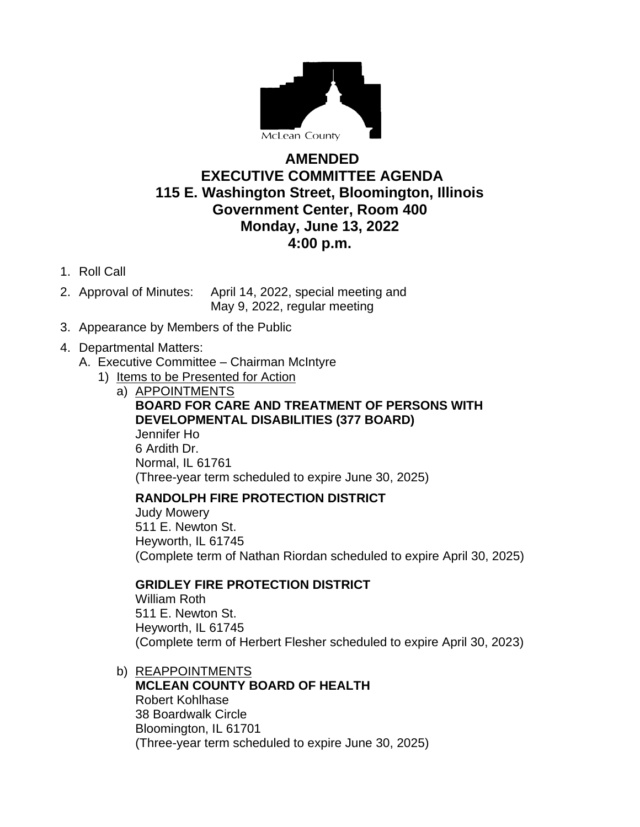

# **AMENDED EXECUTIVE COMMITTEE AGENDA 115 E. Washington Street, Bloomington, Illinois Government Center, Room 400 Monday, June 13, 2022 4:00 p.m.**

- 1. Roll Call
- 2. Approval of Minutes: April 14, 2022, special meeting and May 9, 2022, regular meeting
- 3. Appearance by Members of the Public

### 4. Departmental Matters:

- A. Executive Committee Chairman McIntyre
	- 1) Items to be Presented for Action
		- a) APPOINTMENTS **BOARD FOR CARE AND TREATMENT OF PERSONS WITH DEVELOPMENTAL DISABILITIES (377 BOARD)** Jennifer Ho 6 Ardith Dr. Normal, IL 61761 (Three-year term scheduled to expire June 30, 2025)

### **RANDOLPH FIRE PROTECTION DISTRICT**

Judy Mowery 511 E. Newton St. Heyworth, IL 61745 (Complete term of Nathan Riordan scheduled to expire April 30, 2025)

# **GRIDLEY FIRE PROTECTION DISTRICT**

William Roth 511 E. Newton St. Heyworth, IL 61745 (Complete term of Herbert Flesher scheduled to expire April 30, 2023)

- b) REAPPOINTMENTS
	- **MCLEAN COUNTY BOARD OF HEALTH** Robert Kohlhase 38 Boardwalk Circle Bloomington, IL 61701 (Three-year term scheduled to expire June 30, 2025)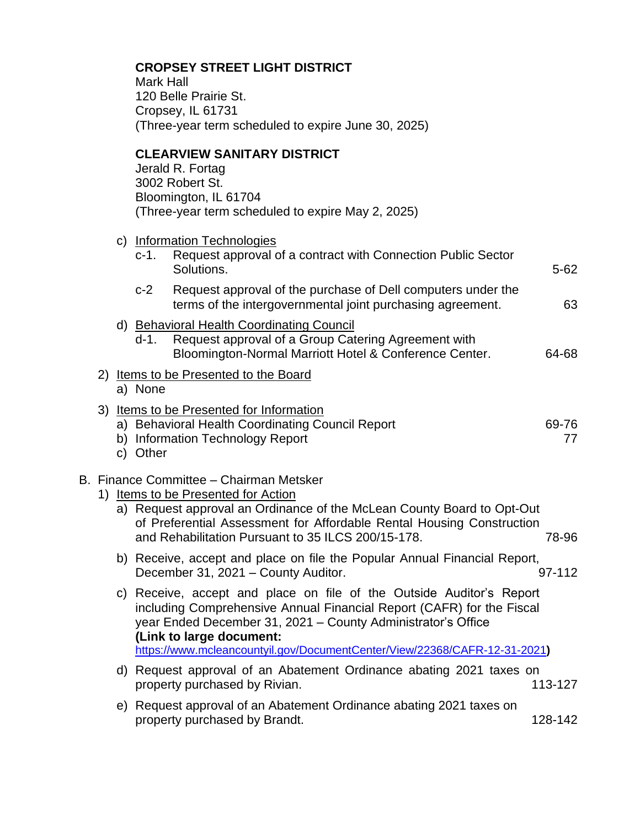|                                                  |                                                                                                    |  | <b>CROPSEY STREET LIGHT DISTRICT</b><br><b>Mark Hall</b><br>120 Belle Prairie St.<br>Cropsey, IL 61731<br>(Three-year term scheduled to expire June 30, 2025)                                                                                                                                        |                                                                                                                                                                                                                                                                                                                        |             |  |
|--------------------------------------------------|----------------------------------------------------------------------------------------------------|--|------------------------------------------------------------------------------------------------------------------------------------------------------------------------------------------------------------------------------------------------------------------------------------------------------|------------------------------------------------------------------------------------------------------------------------------------------------------------------------------------------------------------------------------------------------------------------------------------------------------------------------|-------------|--|
|                                                  | <b>CLEARVIEW SANITARY DISTRICT</b><br>Jerald R. Fortag<br>3002 Robert St.<br>Bloomington, IL 61704 |  |                                                                                                                                                                                                                                                                                                      | (Three-year term scheduled to expire May 2, 2025)                                                                                                                                                                                                                                                                      |             |  |
|                                                  |                                                                                                    |  | $c-1$ .                                                                                                                                                                                                                                                                                              | c) Information Technologies<br>Request approval of a contract with Connection Public Sector<br>Solutions.                                                                                                                                                                                                              | $5 - 62$    |  |
|                                                  |                                                                                                    |  | $c-2$                                                                                                                                                                                                                                                                                                | Request approval of the purchase of Dell computers under the<br>terms of the intergovernmental joint purchasing agreement.                                                                                                                                                                                             | 63          |  |
|                                                  |                                                                                                    |  | d-1.                                                                                                                                                                                                                                                                                                 | d) Behavioral Health Coordinating Council<br>Request approval of a Group Catering Agreement with<br>Bloomington-Normal Marriott Hotel & Conference Center.                                                                                                                                                             | 64-68       |  |
| 2) Items to be Presented to the Board<br>a) None |                                                                                                    |  |                                                                                                                                                                                                                                                                                                      |                                                                                                                                                                                                                                                                                                                        |             |  |
|                                                  |                                                                                                    |  | c) Other                                                                                                                                                                                                                                                                                             | 3) Items to be Presented for Information<br>a) Behavioral Health Coordinating Council Report<br>b) Information Technology Report                                                                                                                                                                                       | 69-76<br>77 |  |
|                                                  | 1)                                                                                                 |  | B. Finance Committee – Chairman Metsker<br><b>Items to be Presented for Action</b><br>a) Request approval an Ordinance of the McLean County Board to Opt-Out<br>of Preferential Assessment for Affordable Rental Housing Construction<br>and Rehabilitation Pursuant to 35 ILCS 200/15-178.<br>78-96 |                                                                                                                                                                                                                                                                                                                        |             |  |
|                                                  |                                                                                                    |  |                                                                                                                                                                                                                                                                                                      | b) Receive, accept and place on file the Popular Annual Financial Report,<br>December 31, 2021 - County Auditor.                                                                                                                                                                                                       | 97-112      |  |
|                                                  |                                                                                                    |  |                                                                                                                                                                                                                                                                                                      | c) Receive, accept and place on file of the Outside Auditor's Report<br>including Comprehensive Annual Financial Report (CAFR) for the Fiscal<br>year Ended December 31, 2021 - County Administrator's Office<br>(Link to large document:<br>https://www.mcleancountyil.gov/DocumentCenter/View/22368/CAFR-12-31-2021) |             |  |
|                                                  |                                                                                                    |  |                                                                                                                                                                                                                                                                                                      | d) Request approval of an Abatement Ordinance abating 2021 taxes on<br>property purchased by Rivian.                                                                                                                                                                                                                   | 113-127     |  |
|                                                  |                                                                                                    |  |                                                                                                                                                                                                                                                                                                      | e) Request approval of an Abatement Ordinance abating 2021 taxes on<br>property purchased by Brandt.                                                                                                                                                                                                                   | 128-142     |  |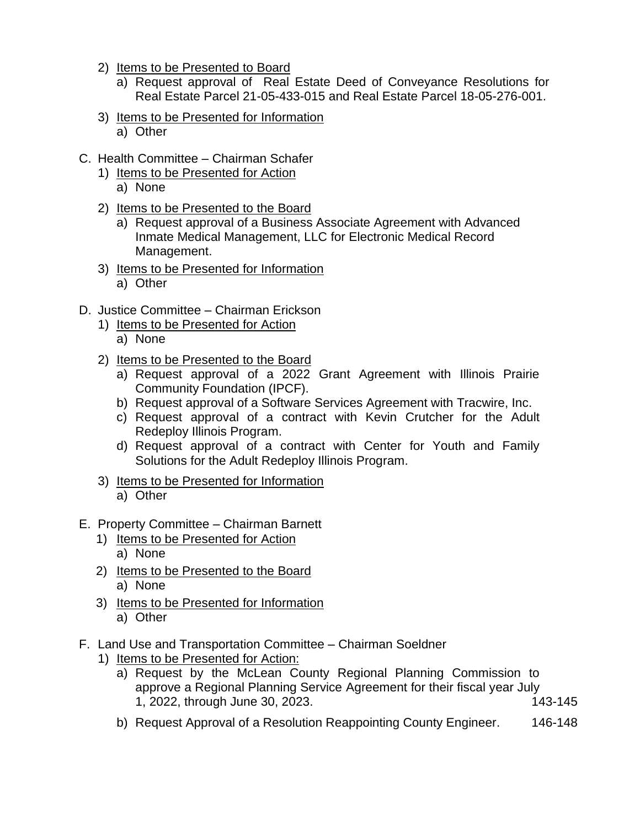- 2) Items to be Presented to Board
	- a) Request approval of Real Estate Deed of Conveyance Resolutions for Real Estate Parcel 21-05-433-015 and Real Estate Parcel 18-05-276-001.
- 3) Items to be Presented for Information a) Other
- C. Health Committee Chairman Schafer
	- 1) Items to be Presented for Action
		- a) None
	- 2) Items to be Presented to the Board
		- a) Request approval of a Business Associate Agreement with Advanced Inmate Medical Management, LLC for Electronic Medical Record Management.
	- 3) Items to be Presented for Information
		- a) Other
- D. Justice Committee Chairman Erickson
	- 1) Items to be Presented for Action
		- a) None
	- 2) Items to be Presented to the Board
		- a) Request approval of a 2022 Grant Agreement with Illinois Prairie Community Foundation (IPCF).
		- b) Request approval of a Software Services Agreement with Tracwire, Inc.
		- c) Request approval of a contract with Kevin Crutcher for the Adult Redeploy Illinois Program.
		- d) Request approval of a contract with Center for Youth and Family Solutions for the Adult Redeploy Illinois Program.
	- 3) Items to be Presented for Information a) Other
- E. Property Committee Chairman Barnett
	- 1) Items to be Presented for Action a) None
	- 2) Items to be Presented to the Board a) None
	- 3) Items to be Presented for Information a) Other
- F. Land Use and Transportation Committee Chairman Soeldner
	- 1) Items to be Presented for Action:
		- a) Request by the McLean County Regional Planning Commission to approve a Regional Planning Service Agreement for their fiscal year July 1, 2022, through June 30, 2023. 143-145
		- b) Request Approval of a Resolution Reappointing County Engineer. 146-148